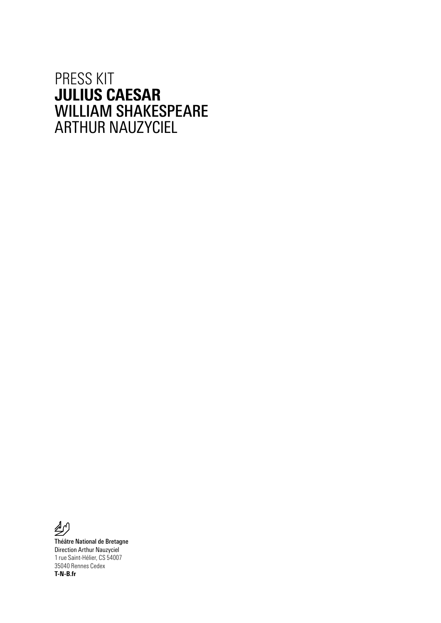### PRESS KIT JULIUS CAESAR WILLIAM SHAKESPEARE ARTHUR NAUZYCIEL



Théâtre National de Bretagne Direction Arthur Nauzyciel 1 rue Saint-Hélier, CS 54007 35040 Rennes Cedex T-N-B.fr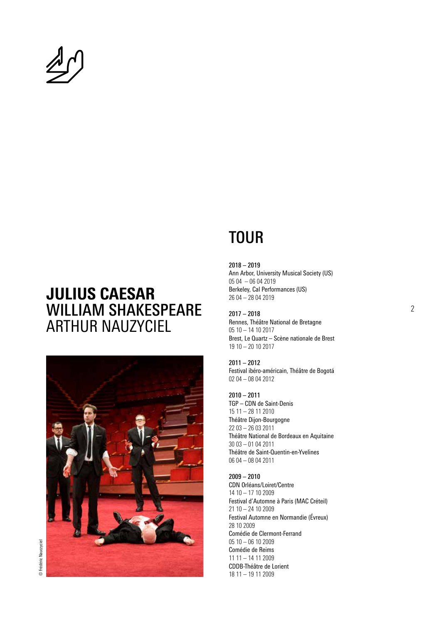

## JULIUS CAESAR WILLIAM SHAKESPEARE ARTHUR NAUZYCIEL



# **TOUR**

2018 – 2019 Ann Arbor, University Musical Society (US) 05 04 – 06 04 2019 Berkeley, Cal Performances (US) 26 04 – 28 04 2019

2017 – 2018 Rennes, Théâtre National de Bretagne 05 10 – 14 10 2017 Brest, Le Quartz – Scène nationale de Brest 19 10 – 20 10 2017

2011 – 2012 Festival ibéro-américain, Théâtre de Bogotá 02 04 – 08 04 2012

2010 – 2011 TGP – CDN de Saint-Denis 15 11 – 28 11 2010 Théâtre Dijon-Bourgogne 22 03 – 26 03 2011 Théâtre National de Bordeaux en Aquitaine 30 03 – 01 04 2011 Théâtre de Saint-Quentin-en-Yvelines 06 04 – 08 04 2011

2009 – 2010 CDN Orléans/Loiret/Centre 14 10 – 17 10 2009 Festival d'Automne à Paris (MAC Créteil) 21 10 – 24 10 2009 Festival Automne en Normandie (Évreux) 28 10 2009 Comédie de Clermont-Ferrand 05 10 – 06 10 2009 Comédie de Reims 11 11 – 14 11 2009 CDDB-Théâtre de Lorient 18 11 – 19 11 2009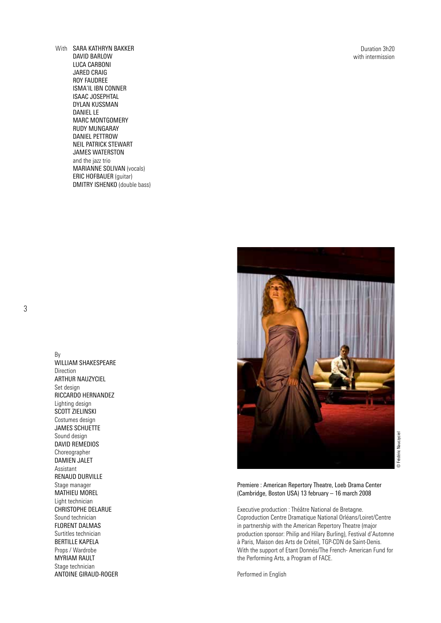Duration 3h20 with intermission

With SARA KATHRYN BAKKER DAVID BARLOW LUCA CARBONI JARED CRAIG ROY FAUDREE ISMA'IL IBN CONNER ISAAC JOSEPHTAL DYLAN KUSSMAN DANIEL LE MARC MONTGOMERY RUDY MUNGARAY DANIEL PETTROW NEIL PATRICK STEWART JAMES WATERSTON and the jazz trio MARIANNE SOLIVAN (vocals) ERIC HOFBAUER (guitar) DMITRY ISHENKO (double bass)

3

By WILLIAM SHAKESPEARE Direction ARTHUR NAUZYCIEL Set design RICCARDO HERNANDEZ Lighting design SCOTT ZIELINSKI Costumes design JAMES SCHUETTE Sound design DAVID REMEDIOS Choreographer DAMIEN JALET Assistant RENAUD DURVILLE Stage manager MATHIEU MOREL Light technician CHRISTOPHE DELARUE Sound technician FLORENT DALMAS Surtitles technician BERTILLE KAPELA Props / Wardrobe MYRIAM RAULT Stage technician ANTOINE GIRAUD-ROGER



Premiere : American Repertory Theatre, Loeb Drama Center (Cambridge, Boston USA) 13 february – 16 march 2008

Executive production : Théâtre National de Bretagne. Coproduction Centre Dramatique National Orléans/Loiret/Centre in partnership with the American Repertory Theatre (major production sponsor: Philip and Hilary Burling), Festival d'Automne à Paris, Maison des Arts de Créteil, TGP-CDN de Saint-Denis. With the support of Etant Donnés/The French- American Fund for the Performing Arts, a Program of FACE.

Performed in English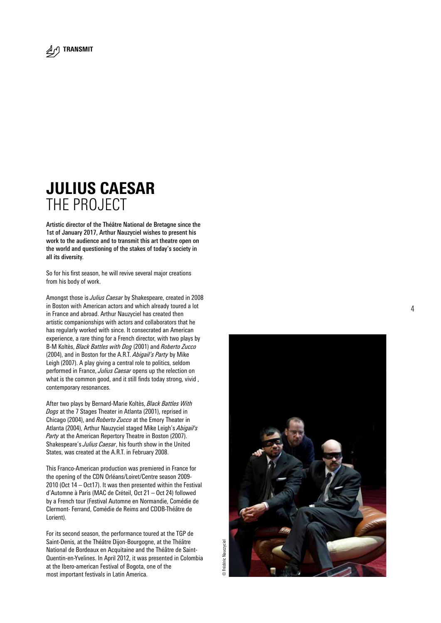

## JULIUS CAESAR THE PROJECT

Artistic director of the Théâtre National de Bretagne since the 1st of January 2017, Arthur Nauzyciel wishes to present his work to the audience and to transmit this art theatre open on the world and questioning of the stakes of today's society in all its diversity.

So for his first season, he will revive several major creations from his body of work.

Amongst those is *Julius Caesar* by Shakespeare, created in 2008 in Boston with American actors and which already toured a lot in France and abroad. Arthur Nauzyciel has created then artistic companionships with actors and collaborators that he has regularly worked with since. It consecrated an American experience, a rare thing for a French director, with two plays by B-M Koltès, *Black Battles with Dog* (2001) and *Roberto Zucco* (2004), and in Boston for the A.R.T. *Abigail's Party* by Mike Leigh (2007). A play giving a central role to politics, seldom performed in France, *Julius Caesar* opens up the relection on what is the common good, and it still finds today strong, vivid , contemporary resonances.

After two plays by Bernard-Marie Koltès, *Black Battles With Dogs* at the 7 Stages Theater in Atlanta (2001), reprised in Chicago (2004), and *Roberto Zucco* at the Emory Theater in Atlanta (2004), Arthur Nauzyciel staged Mike Leigh's *Abigail's Party* at the American Repertory Theatre in Boston (2007). Shakespeare's *Julius Caesar*, his fourth show in the United States, was created at the A.R.T. in February 2008.

This Franco-American production was premiered in France for the opening of the CDN Orléans/Loiret/Centre season 2009- 2010 (Oct 14 – Oct17). It was then presented within the Festival d'Automne à Paris (MAC de Créteil, Oct 21 – Oct 24) followed by a French tour (Festival Automne en Normandie, Comédie de Clermont- Ferrand, Comédie de Reims and CDDB-Théâtre de Lorient).

For its second season, the performance toured at the TGP de Saint-Denis, at the Théâtre Dijon-Bourgogne, at the Théâtre National de Bordeaux en Acquitaine and the Théâtre de Saint-Quentin-en-Yvelines. In April 2012, it was presented in Colombia at the Ibero-american Festival of Bogota, one of the most important festivals in Latin America.

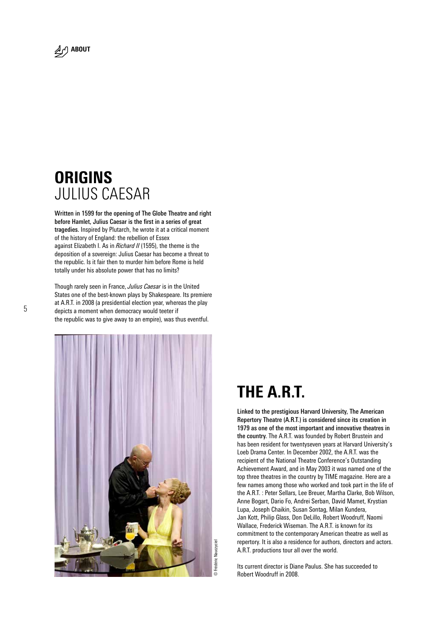

## **ORIGINS** JULIUS CAESAR

Written in 1599 for the opening of The Globe Theatre and right before Hamlet, Julius Caesar is the first in a series of great tragedies. Inspired by Plutarch, he wrote it at a critical moment of the history of England: the rebellion of Essex against Elizabeth I. As in *Richard II* (1595), the theme is the deposition of a sovereign: Julius Caesar has become a threat to the republic. Is it fair then to murder him before Rome is held totally under his absolute power that has no limits?

Though rarely seen in France, *Julius Caesar* is in the United States one of the best-known plays by Shakespeare. Its premiere at A.R.T. in 2008 (a presidential election year, whereas the play depicts a moment when democracy would teeter if the republic was to give away to an empire), was thus eventful.



# THE A.R.T.

Linked to the prestigious Harvard University, The American Repertory Theatre (A.R.T.) is considered since its creation in 1979 as one of the most important and innovative theatres in the country. The A.R.T. was founded by Robert Brustein and has been resident for twentyseven years at Harvard University's Loeb Drama Center. In December 2002, the A.R.T. was the recipient of the National Theatre Conference's Outstanding Achievement Award, and in May 2003 it was named one of the top three theatres in the country by TIME magazine. Here are a few names among those who worked and took part in the life of the A.R.T. : Peter Sellars, Lee Breuer, Martha Clarke, Bob Wilson, Anne Bogart, Dario Fo, Andrei Serban, David Mamet, Krystian Lupa, Joseph Chaikin, Susan Sontag, Milan Kundera, Jan Kott, Philip Glass, Don DeLillo, Robert Woodruff, Naomi Wallace, Frederick Wiseman. The A.R.T. is known for its commitment to the contemporary American theatre as well as repertory. It is also a residence for authors, directors and actors. A.R.T. productions tour all over the world.

Its current director is Diane Paulus. She has succeeded to Robert Woodruff in 2008.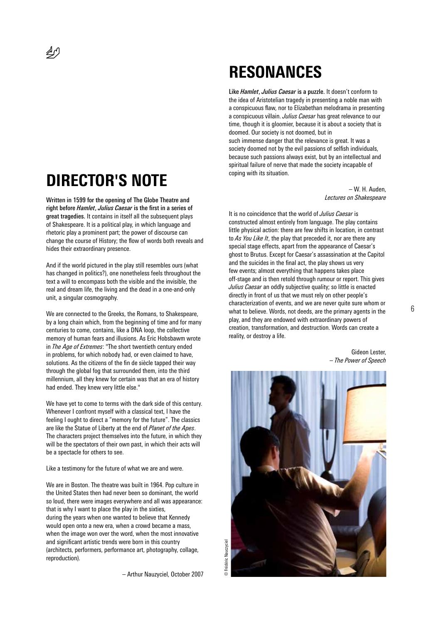# DIRECTOR'S NOTE

Written in 1599 for the opening of The Globe Theatre and right before *Hamlet*, *Julius Caesar* is the first in a series of great tragedies. It contains in itself all the subsequent plays of Shakespeare. It is a political play, in which language and rhetoric play a prominent part; the power of discourse can change the course of History; the flow of words both reveals and hides their extraordinary presence.

And if the world pictured in the play still resembles ours (what has changed in politics?), one nonetheless feels throughout the text a will to encompass both the visible and the invisible, the real and dream life, the living and the dead in a one-and-only unit, a singular cosmography.

We are connected to the Greeks, the Romans, to Shakespeare, by a long chain which, from the beginning of time and for many centuries to come, contains, like a DNA loop, the collective memory of human fears and illusions. As Eric Hobsbawm wrote in *The Age of Extremes*: "The short twentieth century ended in problems, for which nobody had, or even claimed to have, solutions. As the citizens of the fin de siècle tapped their way through the global fog that surrounded them, into the third millennium, all they knew for certain was that an era of history had ended. They knew very little else."

We have yet to come to terms with the dark side of this century. Whenever I confront myself with a classical text, I have the feeling I ought to direct a "memory for the future". The classics are like the Statue of Liberty at the end of *Planet of the Apes*. The characters project themselves into the future, in which they will be the spectators of their own past, in which their acts will be a spectacle for others to see.

#### Like a testimony for the future of what we are and were.

We are in Boston. The theatre was built in 1964. Pop culture in the United States then had never been so dominant, the world so loud, there were images everywhere and all was appearance: that is why I want to place the play in the sixties, during the years when one wanted to believe that Kennedy would open onto a new era, when a crowd became a mass, when the image won over the word, when the most innovative and significant artistic trends were born in this country (architects, performers, performance art, photography, collage, reproduction).

– Arthur Nauzyciel, October 2007

## RESONANCES

Like *Hamlet*, *Julius Caesar* is a puzzle. It doesn't conform to the idea of Aristotelian tragedy in presenting a noble man with a conspicuous flaw, nor to Elizabethan melodrama in presenting a conspicuous villain. *Julius Caesar* has great relevance to our time, though it is gloomier, because it is about a society that is doomed. Our society is not doomed, but in such immense danger that the relevance is great. It was a society doomed not by the evil passions of selfish individuals, because such passions always exist, but by an intellectual and spiritual failure of nerve that made the society incapable of coping with its situation.

> – W. H. Auden, *Lectures on Shakespeare*

It is no coincidence that the world of *Julius Caesar* is constructed almost entirely from language. The play contains little physical action: there are few shifts in location, in contrast to *As You Like It*, the play that preceded it, nor are there any special stage effects, apart from the appearance of Caesar's ghost to Brutus. Except for Caesar's assassination at the Capitol and the suicides in the final act, the play shows us very few events; almost everything that happens takes place off-stage and is then retold through rumour or report. This gives *Julius Caesar* an oddly subjective quality; so little is enacted directly in front of us that we must rely on other people's characterization of events, and we are never quite sure whom or what to believe. Words, not deeds, are the primary agents in the play, and they are endowed with extraordinary powers of creation, transformation, and destruction. Words can create a reality, or destroy a life.

> Gideon Lester, – *The Power of Speech*

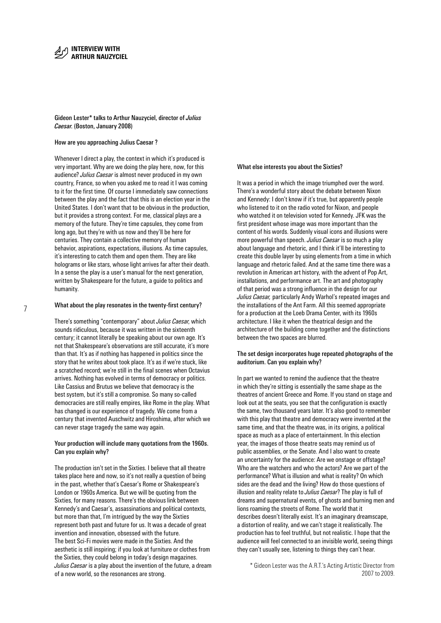Gideon Lester\* talks to Arthur Nauzyciel, director of *Julius Caesar*. (Boston, January 2008)

#### How are you approaching Julius Caesar ?

Whenever I direct a play, the context in which it's produced is very important. Why are we doing the play here, now, for this audience? *Julius Caesar* is almost never produced in my own country, France, so when you asked me to read it I was coming to it for the first time. Of course I immediately saw connections between the play and the fact that this is an election year in the United States. I don't want that to be obvious in the production, but it provides a strong context. For me, classical plays are a memory of the future. They're time capsules, they come from long ago, but they're with us now and they'll be here for centuries. They contain a collective memory of human behavior, aspirations, expectations, illusions. As time capsules, it's interesting to catch them and open them. They are like holograms or like stars, whose light arrives far after their death. In a sense the play is a user's manual for the next generation, written by Shakespeare for the future, a guide to politics and humanity.

#### What about the play resonates in the twenty-first century?

There's something "contemporary" about *Julius Caesar*, which sounds ridiculous, because it was written in the sixteenth century; it cannot literally be speaking about our own age. It's not that Shakespeare's observations are still accurate, it's more than that. It's as if nothing has happened in politics since the story that he writes about took place. It's as if we're stuck, like a scratched record; we're still in the final scenes when Octavius arrives. Nothing has evolved in terms of democracy or politics. Like Cassius and Brutus we believe that democracy is the best system, but it's still a compromise. So many so-called democracies are still really empires, like Rome in the play. What has changed is our experience of tragedy. We come from a century that invented Auschwitz and Hiroshima, after which we can never stage tragedy the same way again.

#### Your production will include many quotations from the 1960s. Can you explain why?

The production isn't set in the Sixties. I believe that all theatre takes place here and now, so it's not really a question of being in the past, whether that's Caesar's Rome or Shakespeare's London or 1960s America. But we will be quoting from the Sixties, for many reasons. There's the obvious link between Kennedy's and Caesar's, assassinations and political contexts, but more than that, I'm intrigued by the way the Sixties represent both past and future for us. It was a decade of great invention and innovation, obsessed with the future. The best Sci-Fi movies were made in the Sixties. And the aesthetic is still inspiring; if you look at furniture or clothes from the Sixties, they could belong in today's design magazines. *Julius Caesar* is a play about the invention of the future, a dream of a new world, so the resonances are strong.

#### What else interests you about the Sixties?

It was a period in which the image triumphed over the word. There's a wonderful story about the debate between Nixon and Kennedy: I don't know if it's true, but apparently people who listened to it on the radio voted for Nixon, and people who watched it on television voted for Kennedy. JFK was the first president whose image was more important than the content of his words. Suddenly visual icons and illusions were more powerful than speech. *Julius Caesar* is so much a play about language and rhetoric, and I think it'll be interesting to create this double layer by using elements from a time in which language and rhetoric failed. And at the same time there was a revolution in American art history, with the advent of Pop Art, installations, and performance art. The art and photography of that period was a strong influence in the design for our *Julius Caesar,* particularly Andy Warhol's repeated images and the installations of the Ant Farm. All this seemed appropriate for a production at the Loeb Drama Center, with its 1960s architecture. I like it when the theatrical design and the architecture of the building come together and the distinctions between the two spaces are blurred.

#### The set design incorporates huge repeated photographs of the auditorium. Can you explain why?

In part we wanted to remind the audience that the theatre in which they're sitting is essentially the same shape as the theatres of ancient Greece and Rome. If you stand on stage and look out at the seats, you see that the configuration is exactly the same, two thousand years later. It's also good to remember with this play that theatre and democracy were invented at the same time, and that the theatre was, in its origins, a political space as much as a place of entertainment. In this election year, the images of those theatre seats may remind us of public assemblies, or the Senate. And I also want to create an uncertainty for the audience: Are we onstage or offstage? Who are the watchers and who the actors? Are we part of the performance? What is illusion and what is reality? On which sides are the dead and the living? How do those questions of illusion and reality relate to *Julius Caesar*? The play is full of dreams and supernatural events, of ghosts and burning men and lions roaming the streets of Rome. The world that it describes doesn't literally exist. It's an imaginary dreamscape, a distortion of reality, and we can't stage it realistically. The production has to feel truthful, but not realistic. I hope that the audience will feel connected to an invisible world, seeing things they can't usually see, listening to things they can't hear.

\* Gideon Lester was the A.R.T.'s Acting Artistic Director from 2007 to 2009.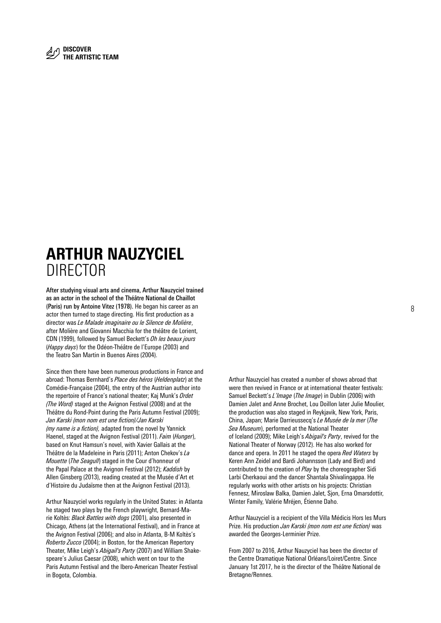### ARTHUR NAUZYCIEL DIRECTOR

After studying visual arts and cinema, Arthur Nauzyciel trained as an actor in the school of the Théâtre National de Chaillot (Paris) run by Antoine Vitez (1978). He began his career as an actor then turned to stage directing. His first production as a director was *Le Malade imaginaire ou le Silence de Molière*, after Molière and Giovanni Macchia for the théâtre de Lorient, CDN (1999), followed by Samuel Beckett's *Oh les beaux jours* (*Happy days*) for the Odéon-Théâtre de l'Europe (2003) and the Teatro San Martin in Buenos Aires (2004).

Since then there have been numerous productions in France and abroad: Thomas Bernhard's *Place des héros* (*Heldenplatz*) at the Comédie-Française (2004), the entry of the Austrian author into the repertoire of France's national theater; Kaj Munk's *Ordet (The Word)* staged at the Avignon Festival (2008) and at the Théâtre du Rond-Point during the Paris Autumn Festival (2009); *Jan Karski (mon nom est une fiction)/Jan Karski (my name is a fiction),* adapted from the novel by Yannick Haenel, staged at the Avignon Festival (2011). *Faim* (*Hunger*), based on Knut Hamsun's novel, with Xavier Gallais at the Théâtre de la Madeleine in Paris (2011); Anton Chekov's *La Mouette* (*The Seagull*) staged in the Cour d'honneur of the Papal Palace at the Avignon Festival (2012); *Kaddish* by Allen Ginsberg (2013), reading created at the Musée d'Art et d'Histoire du Judaïsme then at the Avignon Festival (2013).

Arthur Nauzyciel works regularly in the United States: in Atlanta he staged two plays by the French playwright, Bernard-Marie Koltès: *Black Battles with dogs* (2001), also presented in Chicago, Athens (at the International Festival), and in France at the Avignon Festival (2006); and also in Atlanta, B-M Koltès's *Roberto Zucco* (2004); in Boston, for the American Repertory Theater, Mike Leigh's *Abigail's Party* (2007) and William Shakespeare's Julius Caesar (2008), which went on tour to the Paris Autumn Festival and the Ibero-American Theater Festival in Bogota, Colombia.

Arthur Nauzyciel has created a number of shows abroad that were then revived in France or at international theater festivals: Samuel Beckett's *L'Image* (*The Image*) in Dublin (2006) with Damien Jalet and Anne Brochet, Lou Doillon later Julie Moulier, the production was also staged in Reykjavik, New York, Paris, China, Japan; Marie Darrieussecq's *Le Musée de la mer* (*The Sea Museum*), performed at the National Theater of Iceland (2009); Mike Leigh's *Abigail's Party*, revived for the National Theater of Norway (2012). He has also worked for dance and opera. In 2011 he staged the opera *Red Waters* by Keren Ann Zeidel and Bardi Johannsson (Lady and Bird) and contributed to the creation of *Play* by the choreographer Sidi Larbi Cherkaoui and the dancer Shantala Shivalingappa. He regularly works with other artists on his projects: Christian Fennesz, Miroslaw Balka, Damien Jalet, Sjon, Erna Omarsdottir, Winter Family, Valérie Mréjen, Étienne Daho.

Arthur Nauzyciel is a recipient of the Villa Médicis Hors les Murs Prize. His production *Jan Karski (mon nom est une fiction)* was awarded the Georges-Lerminier Prize.

From 2007 to 2016, Arthur Nauzyciel has been the director of the Centre Dramatique National Orléans/Loiret/Centre. Since January 1st 2017, he is the director of the Théâtre National de Bretagne/Rennes.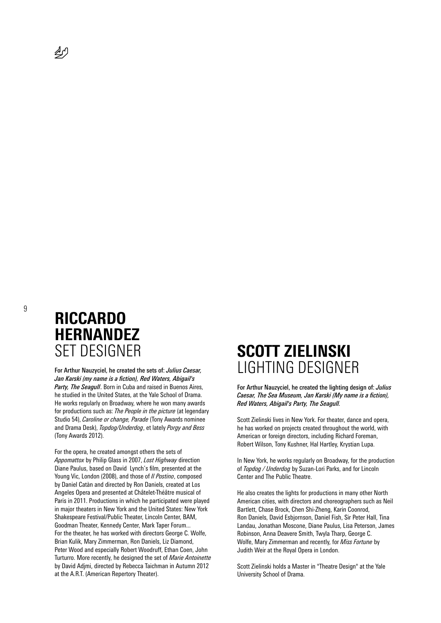⊉∫

9

## RICCARDO **HERNANDEZ** SET DESIGNER

For Arthur Nauzyciel, he created the sets of: *Julius Caesar, Jan Karski (my name is a fiction), Red Waters, Abigail's Party, The Seagull*. Born in Cuba and raised in Buenos Aires, he studied in the United States, at the Yale School of Drama. He works regularly on Broadway, where he won many awards for productions such as: *The People in the picture* (at legendary Studio 54), *Caroline or change, Parade* (Tony Awards nominee and Drama Desk), *Topdog/Underdog*, et lately *Porgy and Bess* (Tony Awards 2012).

For the opera, he created amongst others the sets of *Appomattox* by Philip Glass in 2007, *Lost Highway* direction Diane Paulus, based on David Lynch's film, presented at the Young Vic, London (2008), and those of *Il Postino*, composed by Daniel Catàn and directed by Ron Daniels, created at Los Angeles Opera and presented at Châtelet-Théâtre musical of Paris in 2011. Productions in which he participated were played in major theaters in New York and the United States: New York Shakespeare Festival/Public Theater, Lincoln Center, BAM, Goodman Theater, Kennedy Center, Mark Taper Forum... For the theater, he has worked with directors George C. Wolfe, Brian Kulik, Mary Zimmerman, Ron Daniels, Liz Diamond, Peter Wood and especially Robert Woodruff, Ethan Coen, John Turturro. More recently, he designed the set of *Marie Antoinette* by David Adjmi, directed by Rebecca Taichman in Autumn 2012 at the A.R.T. (American Repertory Theater).

### SCOTT ZIELINSKI LIGHTING DESIGNER

For Arthur Nauzyciel, he created the lighting design of: *Julius Caesar, The Sea Museum, Jan Karski (My name is a fiction), Red Waters, Abigail's Party, The Seagull.*

Scott Zielinski lives in New York. For theater, dance and opera, he has worked on projects created throughout the world, with American or foreign directors, including Richard Foreman, Robert Wilson, Tony Kushner, Hal Hartley, Krystian Lupa.

In New York, he works regularly on Broadway, for the production of *Topdog / Underdog* by Suzan-Lori Parks, and for Lincoln Center and The Public Theatre.

He also creates the lights for productions in many other North American cities, with directors and choreographers such as Neil Bartlett, Chase Brock, Chen Shi-Zheng, Karin Coonrod, Ron Daniels, David Esbjornson, Daniel Fish, Sir Peter Hall, Tina Landau, Jonathan Moscone, Diane Paulus, Lisa Peterson, James Robinson, Anna Deavere Smith, Twyla Tharp, George C. Wolfe, Mary Zimmerman and recently, for *Miss Fortune* by Judith Weir at the Royal Opera in London.

Scott Zielinski holds a Master in "Theatre Design" at the Yale University School of Drama.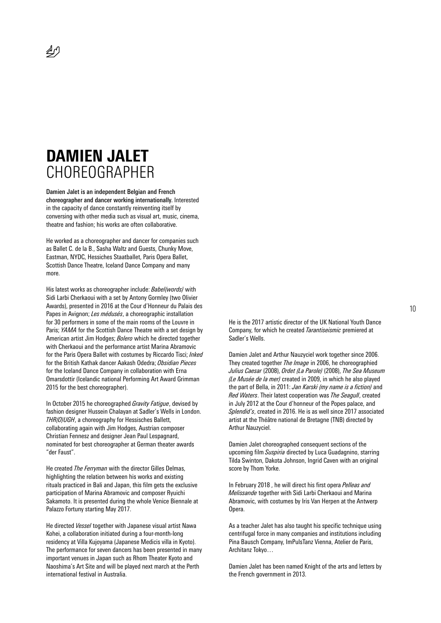## DAMIEN JALET CHOREOGRAPHER

 $\mathbb{Z}^6$ 

Damien Jalet is an independent Belgian and French choreographer and dancer working internationally. Interested in the capacity of dance constantly reinventing itself by conversing with other media such as visual art, music, cinema, theatre and fashion; his works are often collaborative.

He worked as a choreographer and dancer for companies such as Ballet C. de la B., Sasha Waltz and Guests, Chunky Move, Eastman, NYDC, Hessiches Staatballet, Paris Opera Ballet, Scottish Dance Theatre, Iceland Dance Company and many more.

His latest works as choreographer include: *Babel(words)* with Sidi Larbi Cherkaoui with a set by Antony Gormley (two Olivier Awards), presented in 2016 at the Cour d'Honneur du Palais des Papes in Avignon; *Les médusés*, a choreographic installation for 30 performers in some of the main rooms of the Louvre in Paris: *YAMA* for the Scottish Dance Theatre with a set design by American artist Jim Hodges; *Bolero* which he directed together with Cherkaoui and the performance artist Marina Abramovic for the Paris Opera Ballet with costumes by Riccardo Tisci; *Inked* for the British Kathak dancer Aakash Odedra; *Obsidian Pieces* for the Iceland Dance Company in collaboration with Erna Omarsdottir (Icelandic national Performing Art Award Grimman 2015 for the best choreographer).

In October 2015 he choreographed *Gravity Fatigue*, devised by fashion designer Hussein Chalayan at Sadler's Wells in London. *THR(O)UGH*, a choreography for Hessisches Ballett, collaborating again with Jim Hodges, Austrian composer Christian Fennesz and designer Jean Paul Lespagnard, nominated for best choreographer at German theater awards "der Faust".

He created *The Ferryman* with the director Gilles Delmas, highlighting the relation between his works and existing rituals practiced in Bali and Japan, this film gets the exclusive participation of Marina Abramovic and composer Ryuichi Sakamoto. It is presented during the whole Venice Biennale at Palazzo Fortuny starting May 2017.

He directed *Vessel* together with Japanese visual artist Nawa Kohei, a collaboration initiated during a four-month-long residency at Villa Kujoyama (Japanese Medicis villa in Kyoto). The performance for seven dancers has been presented in many important venues in Japan such as Rhom Theater Kyoto and Naoshima's Art Site and will be played next march at the Perth international festival in Australia.

He is the 2017 artistic director of the UK National Youth Dance Company, for which he created *Tarantiseismic* premiered at Sadler's Wells.

Damien Jalet and Arthur Nauzyciel work together since 2006. They created together *The Image* in 2006, he choreographied *Julius Caesar* (2008), *Ordet (La Parole)* (2008), *The Sea Museum (Le Musée de la mer)* created in 2009, in which he also played the part of Bella, in 2011: *Jan Karski (my name is a fiction)* and *Red Waters*. Their latest cooperation was *The Seagull*, created in July 2012 at the Cour d'honneur of the Popes palace, and *Splendid's*, created in 2016. He is as well since 2017 associated artist at the Théâtre national de Bretagne (TNB) directed by Arthur Nauzyciel.

Damien Jalet choreographed consequent sections of the upcoming film *Suspiria* directed by Luca Guadagnino, starring Tilda Swinton, Dakota Johnson, Ingrid Caven with an original score by Thom Yorke.

In February 2018 , he will direct his first opera *Pelleas and Melissande* together with Sidi Larbi Cherkaoui and Marina Abramovic, with costumes by Iris Van Herpen at the Antwerp Opera.

As a teacher Jalet has also taught his specific technique using centrifugal force in many companies and institutions including Pina Bausch Company, ImPulsTanz Vienna, Atelier de Paris, Architanz Tokyo…

Damien Jalet has been named Knight of the arts and letters by the French government in 2013.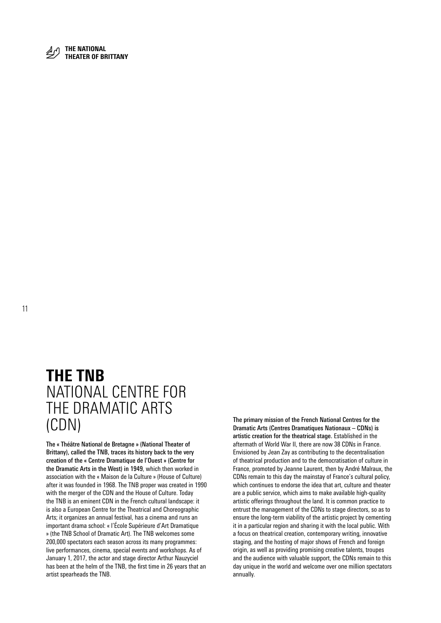

THEATER OF BRITTANY

### THE TNB NATIONAL CENTRE FOR THE DRAMATIC ARTS (CDN)

The « Théâtre National de Bretagne » (National Theater of Brittany), called the TNB, traces its history back to the very creation of the « Centre Dramatique de l'Ouest » (Centre for the Dramatic Arts in the West) in 1949, which then worked in association with the « Maison de la Culture » (House of Culture) after it was founded in 1968. The TNB proper was created in 1990 with the merger of the CDN and the House of Culture. Today the TNB is an eminent CDN in the French cultural landscape: it is also a European Centre for the Theatrical and Choreographic Arts; it organizes an annual festival, has a cinema and runs an important drama school: « l'École Supérieure d'Art Dramatique » (the TNB School of Dramatic Art). The TNB welcomes some 200,000 spectators each season across its many programmes: live performances, cinema, special events and workshops. As of January 1, 2017, the actor and stage director Arthur Nauzyciel has been at the helm of the TNB, the first time in 26 years that an artist spearheads the TNB.

The primary mission of the French National Centres for the Dramatic Arts (Centres Dramatiques Nationaux – CDNs) is artistic creation for the theatrical stage. Established in the aftermath of World War II, there are now 38 CDNs in France. Envisioned by Jean Zay as contributing to the decentralisation of theatrical production and to the democratisation of culture in France, promoted by Jeanne Laurent, then by André Malraux, the CDNs remain to this day the mainstay of France's cultural policy, which continues to endorse the idea that art, culture and theater are a public service, which aims to make available high-quality artistic offerings throughout the land. It is common practice to entrust the management of the CDNs to stage directors, so as to ensure the long-term viability of the artistic project by cementing it in a particular region and sharing it with the local public. With a focus on theatrical creation, contemporary writing, innovative staging, and the hosting of major shows of French and foreign origin, as well as providing promising creative talents, troupes and the audience with valuable support, the CDNs remain to this day unique in the world and welcome over one million spectators annually.